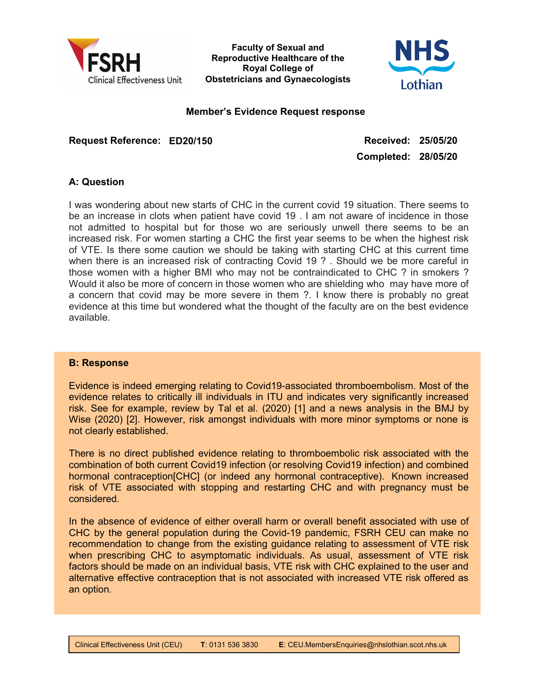

Faculty of Sexual and Reproductive Healthcare of the Royal College of Obstetricians and Gynaecologists



#### Member's Evidence Request response

Request Reference: ED20/150 Received: 25/05/20

Completed: 28/05/20

# A: Question

I was wondering about new starts of CHC in the current covid 19 situation. There seems to be an increase in clots when patient have covid 19 . I am not aware of incidence in those not admitted to hospital but for those wo are seriously unwell there seems to be an increased risk. For women starting a CHC the first year seems to be when the highest risk of VTE. Is there some caution we should be taking with starting CHC at this current time when there is an increased risk of contracting Covid 19 ? . Should we be more careful in those women with a higher BMI who may not be contraindicated to CHC ? in smokers ? Would it also be more of concern in those women who are shielding who may have more of a concern that covid may be more severe in them ?. I know there is probably no great evidence at this time but wondered what the thought of the faculty are on the best evidence available.

## B: Response

Ē

Evidence is indeed emerging relating to Covid19-associated thromboembolism. Most of the evidence relates to critically ill individuals in ITU and indicates very significantly increased risk. See for example, review by Tal et al. (2020) [1] and a news analysis in the BMJ by Wise (2020) [2]. However, risk amongst individuals with more minor symptoms or none is not clearly established.

There is no direct published evidence relating to thromboembolic risk associated with the combination of both current Covid19 infection (or resolving Covid19 infection) and combined hormonal contraception[CHC] (or indeed any hormonal contraceptive). Known increased risk of VTE associated with stopping and restarting CHC and with pregnancy must be considered.

In the absence of evidence of either overall harm or overall benefit associated with use of CHC by the general population during the Covid-19 pandemic, FSRH CEU can make no recommendation to change from the existing guidance relating to assessment of VTE risk when prescribing CHC to asymptomatic individuals. As usual, assessment of VTE risk factors should be made on an individual basis, VTE risk with CHC explained to the user and alternative effective contraception that is not associated with increased VTE risk offered as an option.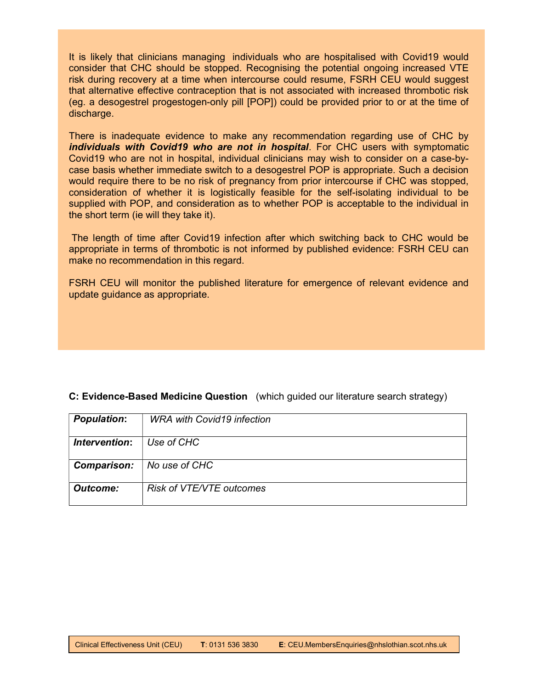It is likely that clinicians managing individuals who are hospitalised with Covid19 would consider that CHC should be stopped. Recognising the potential ongoing increased VTE risk during recovery at a time when intercourse could resume, FSRH CEU would suggest that alternative effective contraception that is not associated with increased thrombotic risk (eg. a desogestrel progestogen-only pill [POP]) could be provided prior to or at the time of discharge.

There is inadequate evidence to make any recommendation regarding use of CHC by individuals with Covid19 who are not in hospital. For CHC users with symptomatic Covid19 who are not in hospital, individual clinicians may wish to consider on a case-bycase basis whether immediate switch to a desogestrel POP is appropriate. Such a decision would require there to be no risk of pregnancy from prior intercourse if CHC was stopped, consideration of whether it is logistically feasible for the self-isolating individual to be supplied with POP, and consideration as to whether POP is acceptable to the individual in the short term (ie will they take it).

 The length of time after Covid19 infection after which switching back to CHC would be appropriate in terms of thrombotic is not informed by published evidence: FSRH CEU can make no recommendation in this regard.

FSRH CEU will monitor the published literature for emergence of relevant evidence and update guidance as appropriate.

## C: Evidence-Based Medicine Question (which guided our literature search strategy)

| <b>Population:</b> | <b>WRA with Covid19 infection</b> |
|--------------------|-----------------------------------|
| Intervention:      | Use of CHC                        |
| <b>Comparison:</b> | No use of CHC                     |
| Outcome:           | Risk of VTE/VTE outcomes          |

Ē